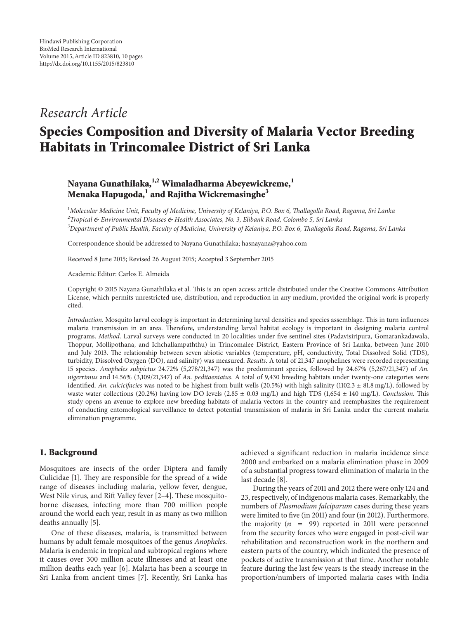## *Research Article*

# **Species Composition and Diversity of Malaria Vector Breeding Habitats in Trincomalee District of Sri Lanka**

## **Nayana Gunathilaka,1,2 Wimaladharma Abeyewickreme,1 Menaka Hapugoda,<sup>1</sup> and Rajitha Wickremasinghe<sup>3</sup>**

*1 Molecular Medicine Unit, Faculty of Medicine, University of Kelaniya, P.O. Box 6, Thallagolla Road, Ragama, Sri Lanka 2 Tropical & Environmental Diseases & Health Associates, No. 3, Elibank Road, Colombo 5, Sri Lanka 3 Department of Public Health, Faculty of Medicine, University of Kelaniya, P.O. Box 6, Thallagolla Road, Ragama, Sri Lanka*

Correspondence should be addressed to Nayana Gunathilaka; hasnayana@yahoo.com

Received 8 June 2015; Revised 26 August 2015; Accepted 3 September 2015

Academic Editor: Carlos E. Almeida

Copyright © 2015 Nayana Gunathilaka et al. This is an open access article distributed under the Creative Commons Attribution License, which permits unrestricted use, distribution, and reproduction in any medium, provided the original work is properly cited.

*Introduction*. Mosquito larval ecology is important in determining larval densities and species assemblage. This in turn influences malaria transmission in an area. Therefore, understanding larval habitat ecology is important in designing malaria control programs. *Method*. Larval surveys were conducted in 20 localities under five sentinel sites (Padavisiripura, Gomarankadawala, Thoppur, Mollipothana, and Ichchallampaththu) in Trincomalee District, Eastern Province of Sri Lanka, between June 2010 and July 2013. The relationship between seven abiotic variables (temperature, pH, conductivity, Total Dissolved Solid (TDS), turbidity, Dissolved Oxygen (DO), and salinity) was measured. *Results*. A total of 21,347 anophelines were recorded representing 15 species. *Anopheles subpictus* 24.72% (5,278/21,347) was the predominant species, followed by 24.67% (5,267/21,347) of *An. nigerrimus* and 14.56% (3,109/21,347) of *An. peditaeniatus*. A total of 9,430 breeding habitats under twenty-one categories were identified. *An. culcicifacies* was noted to be highest from built wells (20.5%) with high salinity (1102.3 ± 81.8 mg/L), followed by waste water collections (20.2%) having low DO levels (2.85 ± 0.03 mg/L) and high TDS (1,654 ± 140 mg/L). *Conclusion*. This study opens an avenue to explore new breeding habitats of malaria vectors in the country and reemphasizes the requirement of conducting entomological surveillance to detect potential transmission of malaria in Sri Lanka under the current malaria elimination programme.

## **1. Background**

Mosquitoes are insects of the order Diptera and family Culicidae [1]. They are responsible for the spread of a wide range of diseases including malaria, yellow fever, dengue, West Nile virus, and Rift Valley fever [2–4]. These mosquitoborne diseases, infecting more than 700 million people around the world each year, result in as many as two million deaths annually [5].

One of these diseases, malaria, is transmitted between humans by adult female mosquitoes of the genus *Anopheles*. Malaria is endemic in tropical and subtropical regions where it causes over 300 million acute illnesses and at least one million deaths each year [6]. Malaria has been a scourge in Sri Lanka from ancient times [7]. Recently, Sri Lanka has achieved a significant reduction in malaria incidence since 2000 and embarked on a malaria elimination phase in 2009 of a substantial progress toward elimination of malaria in the last decade [8].

During the years of 2011 and 2012 there were only 124 and 23, respectively, of indigenous malaria cases. Remarkably, the numbers of *Plasmodium falciparum* cases during these years were limited to five (in 2011) and four (in 2012). Furthermore, the majority ( $n = 99$ ) reported in 2011 were personnel from the security forces who were engaged in post-civil war rehabilitation and reconstruction work in the northern and eastern parts of the country, which indicated the presence of pockets of active transmission at that time. Another notable feature during the last few years is the steady increase in the proportion/numbers of imported malaria cases with India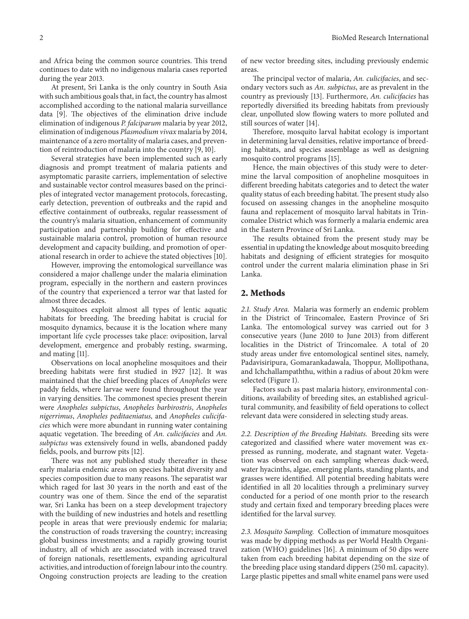and Africa being the common source countries. This trend continues to date with no indigenous malaria cases reported during the year 2013.

At present, Sri Lanka is the only country in South Asia with such ambitious goals that, in fact, the country has almost accomplished according to the national malaria surveillance data [9]. The objectives of the elimination drive include elimination of indigenous *P. falciparum* malaria by year 2012, elimination of indigenous *Plasmodium vivax* malaria by 2014, maintenance of a zero mortality of malaria cases, and prevention of reintroduction of malaria into the country [9, 10].

Several strategies have been implemented such as early diagnosis and prompt treatment of malaria patients and asymptomatic parasite carriers, implementation of selective and sustainable vector control measures based on the principles of integrated vector management protocols, forecasting, early detection, prevention of outbreaks and the rapid and effective containment of outbreaks, regular reassessment of the country's malaria situation, enhancement of community participation and partnership building for effective and sustainable malaria control, promotion of human resource development and capacity building, and promotion of operational research in order to achieve the stated objectives [10].

However, improving the entomological surveillance was considered a major challenge under the malaria elimination program, especially in the northern and eastern provinces of the country that experienced a terror war that lasted for almost three decades.

Mosquitoes exploit almost all types of lentic aquatic habitats for breeding. The breeding habitat is crucial for mosquito dynamics, because it is the location where many important life cycle processes take place: oviposition, larval development, emergence and probably resting, swarming, and mating [11].

Observations on local anopheline mosquitoes and their breeding habitats were first studied in 1927 [12]. It was maintained that the chief breeding places of *Anopheles* were paddy fields, where larvae were found throughout the year in varying densities. The commonest species present therein were *Anopheles subpictus*, *Anopheles barbirostris*, *Anopheles nigerrimus*, *Anopheles peditaeniatus,* and *Anopheles culicifacies* which were more abundant in running water containing aquatic vegetation. The breeding of *An. culicifacies* and *An. subpictus* was extensively found in wells, abandoned paddy fields, pools, and burrow pits [12].

There was not any published study thereafter in these early malaria endemic areas on species habitat diversity and species composition due to many reasons. The separatist war which raged for last 30 years in the north and east of the country was one of them. Since the end of the separatist war, Sri Lanka has been on a steep development trajectory with the building of new industries and hotels and resettling people in areas that were previously endemic for malaria; the construction of roads traversing the country; increasing global business investments; and a rapidly growing tourist industry, all of which are associated with increased travel of foreign nationals, resettlements, expanding agricultural activities, and introduction of foreign labour into the country. Ongoing construction projects are leading to the creation

of new vector breeding sites, including previously endemic areas.

The principal vector of malaria, *An. culicifacies*, and secondary vectors such as *An. subpictus*, are as prevalent in the country as previously [13]. Furthermore, *An. culicifacies* has reportedly diversified its breeding habitats from previously clear, unpolluted slow flowing waters to more polluted and still sources of water [14].

Therefore, mosquito larval habitat ecology is important in determining larval densities, relative importance of breeding habitats, and species assemblage as well as designing mosquito control programs [15].

Hence, the main objectives of this study were to determine the larval composition of anopheline mosquitoes in different breeding habitats categories and to detect the water quality status of each breeding habitat. The present study also focused on assessing changes in the anopheline mosquito fauna and replacement of mosquito larval habitats in Trincomalee District which was formerly a malaria endemic area in the Eastern Province of Sri Lanka.

The results obtained from the present study may be essential in updating the knowledge about mosquito breeding habitats and designing of efficient strategies for mosquito control under the current malaria elimination phase in Sri Lanka.

#### **2. Methods**

*2.1. Study Area.* Malaria was formerly an endemic problem in the District of Trincomalee, Eastern Province of Sri Lanka. The entomological survey was carried out for 3 consecutive years (June 2010 to June 2013) from different localities in the District of Trincomalee. A total of 20 study areas under five entomological sentinel sites, namely, Padavisiripura, Gomarankadawala, Thoppur, Mollipothana, and Ichchallampaththu, within a radius of about 20 km were selected (Figure 1).

Factors such as past malaria history, environmental conditions, availability of breeding sites, an established agricultural community, and feasibility of field operations to collect relevant data were considered in selecting study areas.

*2.2. Description of the Breeding Habitats.* Breeding sits were categorized and classified where water movement was expressed as running, moderate, and stagnant water. Vegetation was observed on each sampling whereas duck-weed, water hyacinths, algae, emerging plants, standing plants, and grasses were identified. All potential breeding habitats were identified in all 20 localities through a preliminary survey conducted for a period of one month prior to the research study and certain fixed and temporary breeding places were identified for the larval survey.

*2.3. Mosquito Sampling.* Collection of immature mosquitoes was made by dipping methods as per World Health Organization (WHO) guidelines [16]. A minimum of 50 dips were taken from each breeding habitat depending on the size of the breeding place using standard dippers (250 mL capacity). Large plastic pipettes and small white enamel pans were used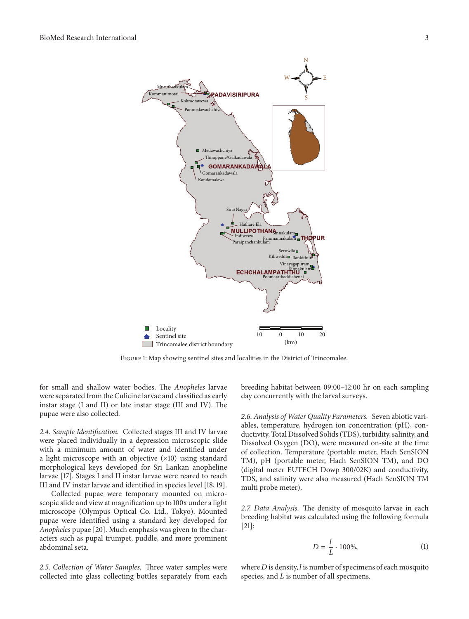

Figure 1: Map showing sentinel sites and localities in the District of Trincomalee.

for small and shallow water bodies. The *Anopheles* larvae were separated from the Culicine larvae and classified as early instar stage (I and II) or late instar stage (III and IV). The pupae were also collected.

*2.4. Sample Identification.* Collected stages III and IV larvae were placed individually in a depression microscopic slide with a minimum amount of water and identified under a light microscope with an objective (×10) using standard morphological keys developed for Sri Lankan anopheline larvae [17]. Stages I and II instar larvae were reared to reach III and IV instar larvae and identified in species level [18, 19].

Collected pupae were temporary mounted on microscopic slide and view at magnification up to 100x under a light microscope (Olympus Optical Co. Ltd., Tokyo). Mounted pupae were identified using a standard key developed for *Anopheles* pupae [20]. Much emphasis was given to the characters such as pupal trumpet, puddle, and more prominent abdominal seta.

*2.5. Collection of Water Samples.* Three water samples were collected into glass collecting bottles separately from each breeding habitat between 09:00–12:00 hr on each sampling day concurrently with the larval surveys.

*2.6. Analysis of Water Quality Parameters.* Seven abiotic variables, temperature, hydrogen ion concentration (pH), conductivity, Total Dissolved Solids (TDS), turbidity, salinity, and Dissolved Oxygen (DO), were measured on-site at the time of collection. Temperature (portable meter, Hach SenSION TM), pH (portable meter, Hach SenSION TM), and DO (digital meter EUTECH Dowp 300/02K) and conductivity, TDS, and salinity were also measured (Hach SenSION TM multi probe meter).

*2.7. Data Analysis.* The density of mosquito larvae in each breeding habitat was calculated using the following formula [21]:

$$
D = \frac{l}{L} \cdot 100\%,\tag{1}
$$

where  $D$  is density,  $l$  is number of specimens of each mosquito species, and  $L$  is number of all specimens.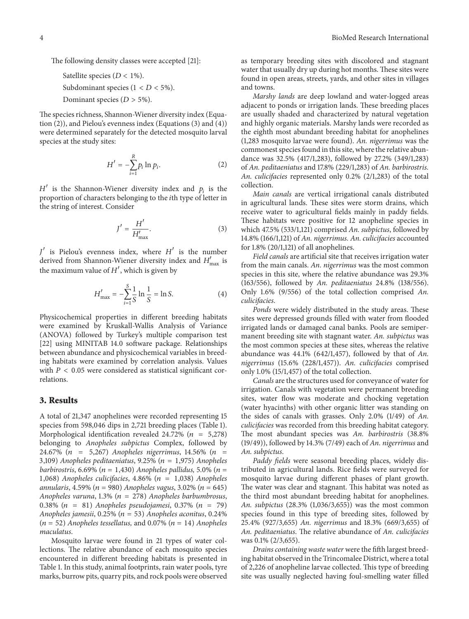The following density classes were accepted [21]:

Satellite species ( $D < 1\%$ ). Subdominant species  $(1 < D < 5\%)$ .

Dominant species ( $D > 5\%$ ).

The species richness, Shannon-Wiener diversity index (Equation (2)), and Pielou's evenness index (Equations (3) and (4)) were determined separately for the detected mosquito larval species at the study sites:

$$
H' = -\sum_{i=1}^{R} p_i \ln p_i.
$$
 (2)

 $H'$  is the Shannon-Wiener diversity index and  $p_i$  is the proportion of characters belonging to the *i*th type of letter in the string of interest. Consider

$$
J' = \frac{H'}{H'_{\text{max}}}.\tag{3}
$$

 $J'$  is Pielou's evenness index, where  $H'$  is the number derived from Shannon-Wiener diversity index and  $H'_{\text{max}}$  is the maximum value of  $H'$ , which is given by

$$
H'_{\text{max}} = -\sum_{i=1}^{S} \frac{1}{S} \ln \frac{1}{S} = \ln S. \tag{4}
$$

Physicochemical properties in different breeding habitats were examined by Kruskall-Wallis Analysis of Variance (ANOVA) followed by Turkey's multiple comparison test [22] using MINITAB 14.0 software package. Relationships between abundance and physicochemical variables in breeding habitats were examined by correlation analysis. Values with  $P < 0.05$  were considered as statistical significant correlations.

#### **3. Results**

A total of 21,347 anophelines were recorded representing 15 species from 598,046 dips in 2,721 breeding places (Table 1). Morphological identification revealed 24.72% ( $n = 5,278$ ) belonging to *Anopheles subpictus* Complex, followed by 24.67% (n = 5,267) Anopheles nigerrimus, 14.56% (n = 3,109) *Anopheles peditaeniatus*, 9.25% ( $n = 1,975$ ) *Anopheles barbirostris*, 6.69% ( $n = 1,430$ ) *Anopheles pallidus,* 5.0% ( $n =$ 1,068) *Anopheles culicifacies*, 4.86% ( $n = 1,038$ ) *Anopheles annularis*, 4.59% (*n* = 980) *Anopheles vagus*, 3.02% (*n* = 645) *Anopheles varuna*, 1.3% ( = 278) *Anopheles barbumbrosus*, 0.38% ( = 81) *Anopheles pseudojamesi*, 0.37% ( = 79) *Anopheles jamesii*, 0.25% ( = 53) *Anopheles aconitus*, 0.24%  $(n = 52)$  *Anopheles tessellatus,* and 0.07%  $(n = 14)$  *Anopheles maculatus*.

Mosquito larvae were found in 21 types of water collections. The relative abundance of each mosquito species encountered in different breeding habitats is presented in Table 1. In this study, animal footprints, rain water pools, tyre marks, burrow pits, quarry pits, and rock pools were observed

as temporary breeding sites with discolored and stagnant water that usually dry up during hot months. These sites were found in open areas, streets, yards, and other sites in villages and towns.

*Marshy lands* are deep lowland and water-logged areas adjacent to ponds or irrigation lands. These breeding places are usually shaded and characterized by natural vegetation and highly organic materials. Marshy lands were recorded as the eighth most abundant breeding habitat for anophelines (1,283 mosquito larvae were found). *An. nigerrimus* was the commonest species found in this site, where the relative abundance was 32.5% (417/1,283), followed by 27.2% (349/1,283) of *An. peditaeniatus* and 17.8% (229/1,283) of *An. barbirostris. An. culicifacies* represented only 0.2% (2/1,283) of the total collection.

*Main canals* are vertical irrigational canals distributed in agricultural lands. These sites were storm drains, which receive water to agricultural fields mainly in paddy fields. These habitats were positive for 12 anopheline species in which 47.5% (533/1,121) comprised *An. subpictus*, followed by 14.8% (166/1,121) of *An. nigerrimus. An. culicifacies* accounted for 1.8% (20/1,121) of all anophelines.

*Field canals* are artificial site that receives irrigation water from the main canals. *An. nigerrimus* was the most common species in this site, where the relative abundance was 29.3% (163/556), followed by *An. peditaeniatus* 24.8% (138/556). Only 1.6% (9/556) of the total collection comprised *An. culicifacies*.

*Ponds* were widely distributed in the study areas. These sites were depressed grounds filled with water from flooded irrigated lands or damaged canal banks. Pools are semipermanent breeding site with stagnant water. *An. subpictus* was the most common species at these sites, whereas the relative abundance was 44.1% (642/1,457), followed by that of *An. nigerrimus* (15.6% (228/1,457)). *An. culicifacies* comprised only 1.0% (15/1,457) of the total collection.

*Canals* are the structures used for conveyance of water for irrigation. Canals with vegetation were permanent breeding sites, water flow was moderate and chocking vegetation (water hyacinths) with other organic litter was standing on the sides of canals with grasses. Only 2.0% (1/49) of *An. culicifacies* was recorded from this breeding habitat category. The most abundant species was *An. barbirostris* (38.8% (19/49)), followed by 14.3% (7/49) each of *An. nigerrimus* and *An. subpictus*.

*Paddy fields* were seasonal breeding places, widely distributed in agricultural lands. Rice fields were surveyed for mosquito larvae during different phases of plant growth. The water was clear and stagnant. This habitat was noted as the third most abundant breeding habitat for anophelines. *An. subpictus* (28.3% (1,036/3,655)) was the most common species found in this type of breeding sites, followed by 25.4% (927/3,655) *An. nigerrimus* and 18.3% (669/3,655) of *An. peditaeniatus*. The relative abundance of *An. culicifacies* was 0.1% (2/3,655).

*Drains containing waste water* were the fifth largest breeding habitat observed in the Trincomalee District, where a total of 2,226 of anopheline larvae collected. This type of breeding site was usually neglected having foul-smelling water filled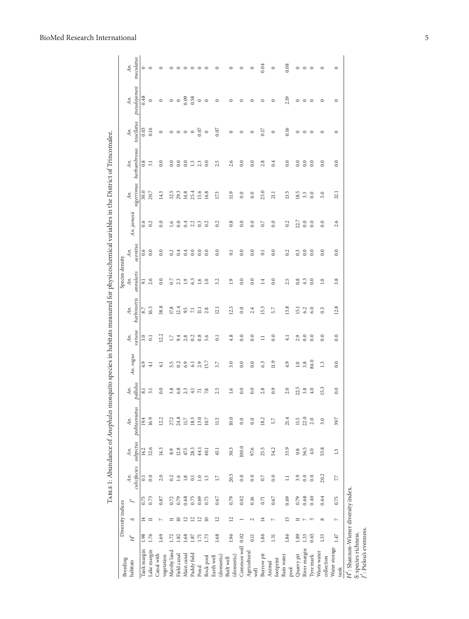## BioMed Research International

| Breeding                            |      | Diversity indices                       |      |                     |          |                                |                                                     |               |                 |                     | Species density  |                  |                  |                   |                     |                    |                     |                  |
|-------------------------------------|------|-----------------------------------------|------|---------------------|----------|--------------------------------|-----------------------------------------------------|---------------|-----------------|---------------------|------------------|------------------|------------------|-------------------|---------------------|--------------------|---------------------|------------------|
| habitats                            | É    | S                                       |      | culicifacies<br>Аn. | Аn.      | subpictus peditaeniatus<br>Aп. | pallidus<br>Aп.                                     | An. vagus     | varuna<br>Aп.   | barbirostris<br>Аn. | annularis<br>Aп. | aconitus<br>Aп.  | An. jamesii      | nigerrimus<br>Aп. | barbumbrosus<br>Аn. | tessellatus<br>Аn. | pseudojamesi<br>Aп. | maculatus<br>Аn. |
| Tank margin                         | 1.98 | $\overline{4}$                          | 0.75 | 5                   | 14.2     | 19.4                           | $\overline{81}$                                     | 4.9           | 3.0             | 8.7                 | 51               | 0.6              | 0.6              | 30.0              | 0.8                 | 0.03               | 0.48                | $\circ$          |
| Lake margin                         | 1.76 | $\equiv$                                | 0.73 | 0.0                 | 32.6     | 16.9                           | $\overline{31}$                                     | $\frac{1}{4}$ | $\overline{0}$  | 16.5                | 2.6              | 0.0              | 0.2              | 20.7              | 3.1                 | 0.16               | $\circ$             | $\circ$          |
| Canal with                          | 1.69 | N                                       | 0.87 | 2.0                 | 14.3     | 12.2                           | 0.0                                                 | 61            | 12.2            | 38.8                | 0.0              | 0.0              | 0.0              | 14.3              | 0.0                 | $\circ$            | $\circ$             | $\circ$          |
| Marshy land<br>vegetation           | 1.72 | ≔                                       | 0.72 | 0.2                 | 8.9      | 27,2                           | 3.8                                                 | 5.5           | $17\,$          | 17.8                | 0.7              | 0.2              | $\overline{1.6}$ | 32.5              | 0.0                 |                    | $\circ$             | $\circ$          |
| Field canal                         | 1.82 | $\supseteq$                             | 0.79 | 1.6                 | $12.8\,$ | 24.8                           | 6.8                                                 | 0.2           | 9.4             | 12.4                | 2.3              | 0.4              | 0.0              | 29.3              | 0.0                 | $\circ$<br>$\circ$ | $\circ$             | $\circ$          |
| Main canal                          | 1.68 | $\overline{c}$                          | 0.68 | 1.8                 | 47.5     | $11.7\,$                       | 2.3                                                 | 6.9           | 2.8             | 9.5                 | 1.9              | 0.4              | 0.4              | 14.8              | 0.0                 | $\circ$            | 0.09                | $\circ$          |
| Paddy field                         | 1.87 |                                         | 0.75 | $\Xi$               | 28.3     | 18.3                           |                                                     | 61            | 0.2             | 17                  | 6.3              | 0.0              | 2.2              | 25.4              | 1.3                 | $\circ$            | 0.58                | $\circ$          |
| Pond                                | 1.71 | $\begin{array}{c} 22 \\ 21 \end{array}$ | 0.69 | 1.0                 | 44.1     | 13.0                           | $\stackrel{\displaystyle 1}{\displaystyle\sim}$ 7.8 | 2.9           | 0.8             | $\Xi$               | 1.6              | 0.0              | $0.\overline{3}$ | 15.6              | 2.3                 | 0.07               | $\circ$             | $\circ$          |
| Rock pool                           | 1.73 |                                         | 0.75 | $\mathbf{r}_3$      | 40.1     | $10.7\,$                       |                                                     | 15.7          | 3.6             | 2.8                 | 1.0              | 0.0              | 0.2              | 16.8              | 0.0                 | $\circ$            | $\circ$             | $\circ$          |
| (domestic)<br>Earth well            | 1.68 | $\overline{a}$                          | 0.67 | 17                  | 45.1     | 11.5                           | 2.5                                                 | 3.7           | $\overline{0}$  | 12.1                | 3.2              | 0.0              | 0.2              | 17.3              | 2.5                 | 0.07               | $\circ$             |                  |
| (domestic)<br>Built well            | 1.96 | 12                                      | 0.79 | 20.5                | 30.3     | 10.0                           | 1.6                                                 | 3.0           | 4.8             | 12.5                | 1.9              | $\overline{0}$   | 0.8              | 11.9              | 2.6                 | $\circ$            | 0                   | 0                |
| Common well                         | 0.02 |                                         | 0.02 | 0.0                 | 100.0    | 0.0                            | 0.0                                                 | 0.0           | 0.0             | 0.0                 | 0.0              | 0.0              | 0.0              | 0.0               | 0.0                 | $\circ$            | $\circ$             | 0                |
| Agricultural<br>well                | 0.11 | $\mathbf{\sim}$                         | 0.16 | 0.0                 | 97.6     | 0.0                            | 0.0                                                 | 0.0           | 0.0             | 2.4                 | 0.0              | 0.0              | 0.0              | 0.0               | 0.0                 | 0                  | 0                   | $\circ$          |
| Burrow pit                          | 1.86 | 14                                      | 0.71 | 0.7                 | 25.5     | 18.2                           | 2.8                                                 | 6.3           | Ξ               | 15.3                | 1.4              | $\overline{0}$ . | 0.7              | 25.0              | 2.8                 | 0.17               | $\circ$             | 0.04             |
| footprint<br>Animal                 | 1.31 | $\overline{ }$                          | 0.67 | 0.0                 | 54.2     | 5.7                            | 0.9                                                 | 11.9          | 0.0             | 5.7                 | 0.0              | 0.0              | 0.0              | 21.1              | 0.4                 | $\circ$            | $\circ$             | $\circ$          |
| Rain water<br>pool                  | 1.86 | 15                                      | 0.69 | Ξ                   | 33.9     | 21.4                           | 2.0                                                 | 4.9           | $\overline{41}$ | 13.8                | 2.5              | 0.2              | 0.2              | 13.5              | 0.0                 | 0.16               | 2.19                | 0.08             |
| Quarry pit                          | 1.89 | ≔                                       | 0.79 | 3.9                 | 0.8      | 11.5                           | 22.5                                                | 1.0           | 2.9             | 15.1                | 0.8              | 0.3              | 22.7             | 18.5              | 0.0                 | $\circ$            | $\circ$             | $\circ$          |
| River margin                        | 1.33 | $\overline{ }$                          | 0.68 | 0.0                 | 56.5     | 22.0                           | 3.8                                                 | 3.8           | 0.0             | 6.2                 | 4.3              | 0.0              | 0.0              | 3.3               | 0.0                 | $\circ$            | $\circ$             | $\circ$          |
| Tyre mark                           | 0.65 | $\overline{5}$                          | 0.40 | 0.0                 | 4.0      | 2.0                            | 4.0                                                 | 84.0          | 0.0             | 6.0                 | 0.0              | 0.0              | 0.0              | 0.0               | $\overline{0.0}$    | $\circ$            | $\circ$             | $\circ$          |
| Waste water<br>collection           | 1.33 | $\infty$                                | 0.64 | 20.2                | 53.8     | 3.0                            | 15.3                                                | 1.3           | 0.0             | 0.5                 | 1.0              | 0.0              | 0.0              | 5.0               | 0.0                 | $\circ$            | $\circ$             | $\circ$          |
| Water storage<br>tank               | 1.47 | $\overline{ }$                          | 0.75 | 77                  | 1.3      | 39.7                           | 0.0                                                 | 0.0           | 0.0             | 12.8                | 3.8              | 0.0              | 2.6              | 32.1              | 0.0                 | $\circ$            | $\circ$             | $\circ$          |
| H': Shannon-Wiener diversity index. |      |                                         |      |                     |          |                                |                                                     |               |                 |                     |                  |                  |                  |                   |                     |                    |                     |                  |

: species richness. : Pielou's evenness.

S: species richness.<br> $f'$ : Pielou's evenness.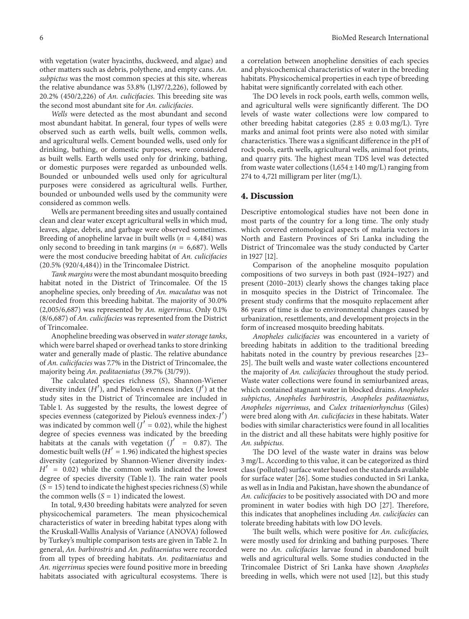with vegetation (water hyacinths, duckweed, and algae) and other matters such as debris, polythene, and empty cans. *An. subpictus* was the most common species at this site, whereas the relative abundance was 53.8% (1,197/2,226), followed by 20.2% (450/2,226) of *An. culicifacies.* This breeding site was the second most abundant site for *An. culicifacies*.

*Wells* were detected as the most abundant and second most abundant habitat. In general, four types of wells were observed such as earth wells, built wells, common wells, and agricultural wells. Cement bounded wells, used only for drinking, bathing, or domestic purposes, were considered as built wells. Earth wells used only for drinking, bathing, or domestic purposes were regarded as unbounded wells. Bounded or unbounded wells used only for agricultural purposes were considered as agricultural wells. Further, bounded or unbounded wells used by the community were considered as common wells.

Wells are permanent breeding sites and usually contained clean and clear water except agricultural wells in which mud, leaves, algae, debris, and garbage were observed sometimes. Breeding of anopheline larvae in built wells ( $n=4,484$ ) was only second to breeding in tank margins ( $n=6,687$ ). Wells were the most conducive breeding habitat of *An. culicifacies* (20.5% (920/4,484)) in the Trincomalee District.

*Tank margins* were the most abundant mosquito breeding habitat noted in the District of Trincomalee. Of the 15 anopheline species, only breeding of *An. maculatus* was not recorded from this breeding habitat. The majority of 30.0% (2,005/6,687) was represented by *An. nigerrimus*. Only 0.1% (8/6,687) of *An. culicifacies* was represented from the District of Trincomalee.

Anopheline breeding was observed in *water storage tanks*, which were barrel shaped or overhead tanks to store drinking water and generally made of plastic. The relative abundance of *An. culicifacies* was 7.7% in the District of Trincomalee, the majority being *An. peditaeniatus* (39.7% (31/79)).

The calculated species richness  $(S)$ , Shannon-Wiener diversity index  $(H')$ , and Pielou's evenness index  $(J')$  at the study sites in the District of Trincomalee are included in Table 1. As suggested by the results, the lowest degree of species evenness (categorized by Pielou's evenness index-J') was indicated by common well ( $J' = 0.02$ ), while the highest degree of species evenness was indicated by the breeding habitats at the canals with vegetation  $(J' = 0.87)$ . The domestic built wells ( $H' = 1.96$ ) indicated the highest species diversity (categorized by Shannon-Wiener diversity index-  $H' = 0.02$ ) while the common wells indicated the lowest degree of species diversity (Table 1). The rain water pools  $(S = 15)$  tend to indicate the highest species richness  $(S)$  while the common wells  $(S = 1)$  indicated the lowest.

In total, 9,430 breeding habitats were analyzed for seven physicochemical parameters. The mean physicochemical characteristics of water in breeding habitat types along with the Kruskall-Wallis Analysis of Variance (ANOVA) followed by Turkey's multiple comparison tests are given in Table 2. In general, *An. barbirostris* and *An. peditaeniatus* were recorded from all types of breeding habitats. *An. peditaeniatus* and *An. nigerrimus* species were found positive more in breeding habitats associated with agricultural ecosystems. There is

a correlation between anopheline densities of each species and physicochemical characteristics of water in the breeding habitats. Physicochemical properties in each type of breeding habitat were significantly correlated with each other.

The DO levels in rock pools, earth wells, common wells, and agricultural wells were significantly different. The DO levels of waste water collections were low compared to other breeding habitat categories  $(2.85 \pm 0.03 \,\text{mg/L})$ . Tyre marks and animal foot prints were also noted with similar characteristics. There was a significant difference in the pH of rock pools, earth wells, agricultural wells, animal foot prints, and quarry pits. The highest mean TDS level was detected from waste water collections  $(1,654 \pm 140 \text{ mg/L})$  ranging from 274 to 4,721 milligram per liter (mg/L).

#### **4. Discussion**

Descriptive entomological studies have not been done in most parts of the country for a long time. The only study which covered entomological aspects of malaria vectors in North and Eastern Provinces of Sri Lanka including the District of Trincomalee was the study conducted by Carter in 1927 [12].

Comparison of the anopheline mosquito population compositions of two surveys in both past (1924–1927) and present (2010–2013) clearly shows the changes taking place in mosquito species in the District of Trincomalee. The present study confirms that the mosquito replacement after 86 years of time is due to environmental changes caused by urbanization, resettlements, and development projects in the form of increased mosquito breeding habitats.

*Anopheles culicifacies* was encountered in a variety of breeding habitats in addition to the traditional breeding habitats noted in the country by previous researches [23– 25]. The built wells and waste water collections encountered the majority of *An. culicifacies* throughout the study period. Waste water collections were found in semiurbanized areas, which contained stagnant water in blocked drains. *Anopheles subpictus*, *Anopheles barbirostris*, *Anopheles peditaeniatus*, *Anopheles nigerrimus*, and *Culex tritaeniorhynchus* (Giles) were bred along with *An. culicifacies* in these habitats. Water bodies with similar characteristics were found in all localities in the district and all these habitats were highly positive for *An. subpictus*.

The DO level of the waste water in drains was below 3 mg/L. According to this value, it can be categorized as third class (polluted) surface water based on the standards available for surface water [26]. Some studies conducted in Sri Lanka, as well as in India and Pakistan, have shown the abundance of *An. culicifacies* to be positively associated with DO and more prominent in water bodies with high DO [27]. Therefore, this indicates that anophelines including *An. culicifacies* can tolerate breeding habitats with low DO levels.

The built wells, which were positive for *An. culicifacies,* were mostly used for drinking and bathing purposes. There were no *An. culicifacies* larvae found in abandoned built wells and agricultural wells. Some studies conducted in the Trincomalee District of Sri Lanka have shown *Anopheles* breeding in wells, which were not used [12], but this study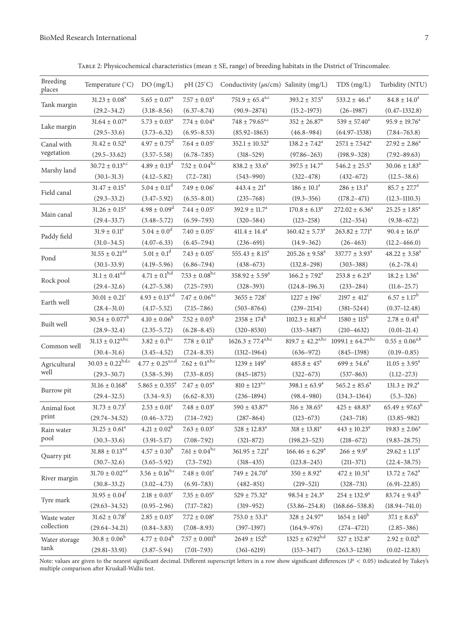TABLE 2: Physicochemical characteristics (mean  $\pm$  SE, range) of breeding habitats in the District of Trincomalee.

| Breeding<br>places | Temperature (°C)                | DO(mg/L)                            | $pH(25^{\circ}C)$            | Conductivity ( $\mu$ s/cm) Salinity (mg/L) |                                  | TDS(mg/L)                      | Turbidity (NTU)               |
|--------------------|---------------------------------|-------------------------------------|------------------------------|--------------------------------------------|----------------------------------|--------------------------------|-------------------------------|
| Tank margin        | $31.23 \pm 0.08^a$              | $5.65 \pm 0.07^{\rm a}$             | $7.57\pm0.03^{\rm a}$        | $751.9 \pm 65.4^{\text{a,c}}$              | $393.2 \pm 37.5^{\text{a}}$      | 533.2 $\pm$ 46.1 <sup>a</sup>  | $84.8 \pm 14.0^a$             |
|                    | $(29.2 - 34.2)$                 | $(3.18 - 8.56)$                     | $(6.37 - 8.74)$              | $(90.9 - 2874)$                            | $(15.2 - 1973)$                  | $(26-1987)$                    | $(0.47 - 1332.8)$             |
| Lake margin        | $31.64 \pm 0.07$ <sup>a</sup>   | $5.73 \pm 0.03^a$                   | $7.74 \pm 0.04$ <sup>a</sup> | $748 \pm 79.65^{\text{a,c}}$               | $352 \pm 26.87^a$                | $539 \pm 57.40^a$              | $95.9 \pm 19.76^a$            |
|                    | $(29.5 - 33.6)$                 | $(3.73 - 6.32)$                     | $(6.95 - 8.53)$              | $(85.92 - 1863)$                           | $(46.8 - 984)$                   | $(64.97-1538)$                 | $(7.84 - 763.8)$              |
| Canal with         | $31.42 \pm 0.52^a$              | $4.97 \pm 0.75^{\rm d}$             | $7.64 \pm 0.05^c$            | $352.1\pm10.52^{\mathrm{a}}$               | $138.2 \pm 7.42^a$               | $257.1 \pm 7.542^a$            | $27.92 \pm 2.86^a$            |
| vegetation         | $(29.5 - 33.62)$                | $(3.57 - 5.58)$                     | $(6.78 - 7.85)$              | $(318 - 529)$                              | $(97.86 - 263)$                  | $(198.9 - 328)$                | $(7.92 - 89.63)$              |
| Marshy land        | $30.72 \pm 0.13^{a,c}$          | $4.89\pm0.13^{\rm d}$               | $7.52 \pm 0.04^{b,c}$        | $838.2 \pm 33.6^{\mathrm{a}}$              | $397.5 \pm 14.7^a$               | $546.2 \pm 25.5^{\circ}$       | $30.06 \pm 1.83$ <sup>a</sup> |
|                    | $(30.1 - 31.3)$                 | $(4.12 - 5.82)$                     | $(7.2 - 7.81)$               | $(543 - 990)$                              | $(322 - 478)$                    | $(432 - 672)$                  | $(12.5 - 38.6)$               |
| Field canal        | $31.47 \pm 0.15^a$              | $5.04 \pm 0.11^d$                   | $7.49 \pm 0.06^c$            | $443.4 \pm 21^a$                           | $186 \pm 10.1^a$                 | $286 \pm 13.1^a$               | $85.7 \pm 27.7^a$             |
|                    | $(29.3 - 33.2)$                 | $(3.47 - 5.92)$                     | $(6.55 - 8.01)$              | $(235 - 768)$                              | $(19.3 - 356)$                   | $(178.2 - 471)$                | $(12.3 - 1110.3)$             |
| Main canal         | $31.26 \pm 0.15^a$              | $4.98 \pm 0.09$ <sup>d</sup>        | $7.44\pm0.05^{\circ}$        | $392.9 \pm 11.7^a$                         | $170.8 \pm 6.13^a$               | $272.02 \pm 6.36^a$            | $25.25 \pm 1.85^a$            |
|                    | $(29.4 - 33.7)$                 | $(3.48 - 5.72)$                     | $(6.59 - 7.93)$              | $(320 - 584)$                              | $(123 - 258)$                    | $(212 - 354)$                  | $(9.38 - 67.2)$               |
| Paddy field        | $31.9 \pm 0.11^e$               | $5.04\pm0.0^{\rm d}$                | $7.40 \pm 0.05^{\circ}$      | $411.4 \pm 14.4^a$                         | $160.42 \pm 5.73$ <sup>a</sup>   | $263.82 \pm 7.71$ <sup>a</sup> | $90.4 \pm 16.0^a$             |
|                    | $(31.0 - 34.5)$                 | $(4.07 - 6.33)$                     | $(6.45 - 7.94)$              | $(236 - 691)$                              | $(14.9 - 362)$                   | $(26 - 463)$                   | $(12.2 - 466.0)$              |
| Pond               | $31.55\pm0.21^{\rm a,e}$        | $5.01 \pm 0.1^d$                    | $7.43 \pm 0.05^{\circ}$      | $555.43 \pm 8.15^a$                        | $205.26 \pm 9.58^a$              | $337.77 \pm 3.93^{\text{a}}$   | $48.22 \pm 3.58^a$            |
|                    | $(30.1 - 33.9)$                 | $(4.19 - 5.96)$                     | $(6.86 - 7.94)$              | $(438 - 673)$                              | $(132.8 - 298)$                  | $(303 - 388)$                  | $(6.2 - 78.4)$                |
| Rock pool          | $31.1 \pm 0.41^{\rm a,d}$       | $4.71 \pm 0.1^{\rm b,\overline{d}}$ | $7.53 \pm 0.08^{\rm b,c}$    | $358.92 \pm 5.59^{\text{a}}$               | $166.2 \pm 7.92^{\text{a}}$      | $253.8 \pm 6.23^a$             | $18.2 \pm 1.36^a$             |
|                    | $(29.4 - 32.6)$                 | $(4.27 - 5.38)$                     | $(7.25 - 7.93)$              | $(328 - 393)$                              | $(124.8 - 196.3)$                | $(233 - 284)$                  | $(11.6 - 25.7)$               |
| Earth well         | $30.01 \pm 0.21$ <sup>c</sup>   | $4.93 \pm 0.13^{\text{a,d}}$        | $7.47 \pm 0.06^{\text{a,c}}$ | $3655 \pm 728$ <sup>c</sup>                | $1227 \pm 196^{\circ}$           | $2197 \pm 412$ <sup>c</sup>    | $6.57 \pm 1.17^b$             |
|                    | $(28.4 - 31.0)$                 | $(4.17 - 5.52)$                     | $(7.15 - 7.86)$              | $(503 - 8764)$                             | $(239 - 2154)$                   | $(381 - 5244)$                 | $(0.37-12.48)$                |
| Built well         | $30.54 \pm 0.077^b$             | $4.10 \pm 0.06^b$                   | $7.52 \pm 0.03^b$            | $2358 \pm 174^b$                           | $1102.3 \pm 81.8$ <sup>b,d</sup> | $1580 \pm 115^{\rm b}$         | $2.78 \pm 0.41^b$             |
|                    | $(28.9 - 32.4)$                 | $(2.35 - 5.72)$                     | $(6.28 - 8.45)$              | $(320 - 8530)$                             | $(133 - 3487)$                   | $(210 - 4632)$                 | $(0.01-21.4)$                 |
| Common well        | $31.13 \pm 0.12^{a,b,c}$        | $3.82 \pm 0.1^{b,c}$                | $7.78 \pm 0.11^b$            | $1626.3 \pm 77.4^{a,b,c}$                  | $819.7 \pm 42.2^{a,b,c}$         | $1099.1 \pm 64.7^{a,b,c}$      | $0.55 \pm 0.06^{\rm a,b}$     |
|                    | $(30.4 - 31.6)$                 | $(3.45 - 4.52)$                     | $(7.24 - 8.35)$              | $(1312 - 1964)$                            | $(636 - 972)$                    | $(845 - 1398)$                 | $(0.19 - 0.85)$               |
| Agricultural       | $30.03 \pm 0.22^{b,d,c}$        | $4.77 \pm 0.25^{\rm a,c,d}$         | $7.62\pm0.1^{\rm a,b,c}$     | $1239 \pm 149^a$                           | $485.8 \pm 45^{\text{a}}$        | $699 \pm 54.6^a$               | $11.05 \pm 3.95^a$            |
| well               | $(29.3 - 30.7)$                 | $(3.58 - 5.39)$                     | $(7.33 - 8.05)$              | $(845 - 1875)$                             | $(322 - 673)$                    | $(537 - 863)$                  | $(1.12 - 27.3)$               |
| Burrow pit         | $31.16 \pm 0.168$ <sup>a</sup>  | $5.865 \pm 0.355^a$                 | $7.47\pm0.05^{\rm a}$        | $810 \pm 123^{a,c}$                        | $398.1 \pm 63.9^a$               | $565.2 \pm 85.6^a$             | $131.3 \pm 19.2^a$            |
|                    | $(29.4 - 32.5)$                 | $(3.34 - 9.3)$                      | $(6.62 - 8.33)$              | $(236 - 1894)$                             | $(98.4 - 980)$                   | $(134.3 - 1364)$               | $(5.3 - 326)$                 |
| Animal foot        | $31.73 \pm 0.73^t$              | $2.53 \pm 0.01^e$                   | $7.48 \pm 0.03^e$            | $590 \pm 43.87^a$                          | $316 \pm 38.65^{\text{a}}$       | $425 \pm 48.83^a$              | $65.49 \pm 97.63^b$           |
| print              | $(29.74 - 34.52)$               | $(0.46 - 3.72)$                     | $(7.14 - 7.92)$              | $(287 - 864)$                              | $(123 - 673)$                    | $(243 - 718)$                  | $(13.85 - 982)$               |
| Rain water         | $31.25 \pm 0.61^{\circ}$        | $4.21\pm0.02^{\rm b}$               | $7.63 \pm 0.03^{\circ}$      | $528 \pm 12.83^{\circ}$                    | $318 \pm 13.81^{\circ}$          | $443 \pm 10.23$ <sup>a</sup>   | $19.83 \pm 2.06^{\circ}$      |
| pool               | $(30.3 - 33.6)$                 | $(3.91 - 5.17)$                     | $(7.08 - 7.92)$              | $(321 - 872)$                              | $(198.23 - 523)$                 | $(218 - 672)$                  | $(9.83 - 28.75)$              |
| Quarry pit         | $31.88\pm0.13^{\mathrm{a,e}}$   | $4.57 \pm 0.10^b$                   | $7.61 \pm 0.04^{b,c}$        | $361.95 \pm 7.21^a$                        | $166.46 \pm 6.29^a$              | $266 \pm 9.9^{\rm a}$          | $29.62 \pm 1.13^a$            |
|                    | $(30.7 - 32.6)$                 | $(3.65 - 5.92)$                     | $(7.3 - 7.92)$               | $(318 - 435)$                              | $(123.8 - 245)$                  | $(211 - 371)$                  | $(22.4 - 38.75)$              |
| River margin       | $31.70 \pm 0.02$ <sup>a,e</sup> | $3.56 \pm 0.16^{b,c}$               | $7.48\pm0.01^{\rm e}$        | $749 \pm 24.70^a$                          | $350 \pm 8.92^a$                 | $472 \pm 10.51^a$              | $13.72 \pm 7.62^a$            |
|                    | $(30.8 - 33.2)$                 | $(3.02 - 4.73)$                     | $(6.91 - 7.83)$              | $(482 - 851)$                              | $(219 - 521)$                    | $(328 - 731)$                  | $(6.91 - 22.85)$              |
| Tyre mark          | $31.95 \pm 0.04$ <sup>f</sup>   | $2.18 \pm 0.03^e$                   | $7.35 \pm 0.05^e$            | $529 \pm 75.32^a$                          | $98.54 \pm 24.3^a$               | $254 \pm 132.9^a$              | $83.74 \pm 9.43^b$            |
|                    | $(29.63 - 34.52)$               | $(0.95 - 2.96)$                     | $(7.17 - 7.82)$              | $(319 - 952)$                              | $(53.86 - 254.8)$                | $(168.66 - 538.8)$             | $(18.94 - 741.0)$             |
| Waste water        | $31.62 \pm 0.78$ <sup>f</sup>   | $2.85 \pm 0.03^e$                   | $7.72 \pm 0.08^e$            | $753.0 \pm 53.1^a$                         | $328 \pm 24.97^a$                | $1654 \pm 140^b$               | $37.1 \pm 8.63^b$             |
| collection         | $(29.64 - 34.21)$               | $(0.84 - 3.83)$                     | $(7.08 - 8.93)$              | $(397-1397)$                               | $(164.9 - 976)$                  | $(274 - 4721)$                 | $(2.85 - 386)$                |
| Water storage      | $30.8 \pm 0.06^b$               | $4.77 \pm 0.04^b$                   | $7.57 \pm 0.001^b$           | $2649 \pm 152^b$                           | $1325 \pm 67.92^{b,d}$           | $527 \pm 152.8^{\rm a}$        | $2.92 \pm 0.02^b$             |
| tank               | $(29.81 - 33.91)$               | $(3.87 - 5.94)$                     | $(7.01 - 7.93)$              | $(361 - 6219)$                             | $(153 - 3417)$                   | $(263.3 - 1238)$               | $(0.02 - 12.83)$              |

Note: values are given to the nearest significant decimal. Different superscript letters in a row show significant differences (P < 0.05) indicated by Tukey's multiple comparison after Kruskall-Wallis test.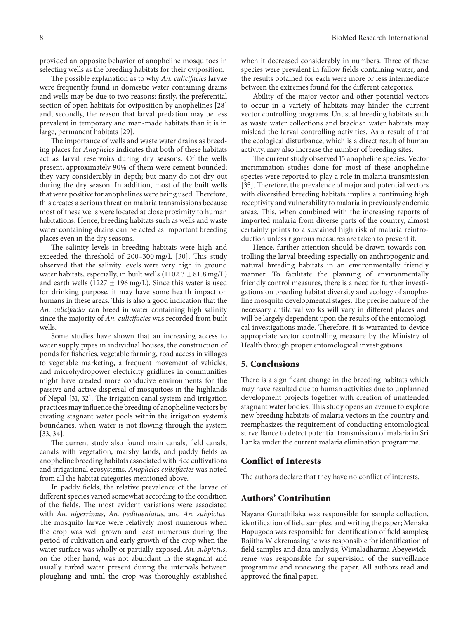provided an opposite behavior of anopheline mosquitoes in selecting wells as the breeding habitats for their oviposition.

The possible explanation as to why *An. culicifacies* larvae were frequently found in domestic water containing drains and wells may be due to two reasons: firstly, the preferential section of open habitats for oviposition by anophelines [28] and, secondly, the reason that larval predation may be less prevalent in temporary and man-made habitats than it is in large, permanent habitats [29].

The importance of wells and waste water drains as breeding places for *Anopheles* indicates that both of these habitats act as larval reservoirs during dry seasons. Of the wells present, approximately 90% of them were cement bounded; they vary considerably in depth; but many do not dry out during the dry season. In addition, most of the built wells that were positive for anophelines were being used.Therefore, this creates a serious threat on malaria transmissions because most of these wells were located at close proximity to human habitations. Hence, breeding habitats such as wells and waste water containing drains can be acted as important breeding places even in the dry seasons.

The salinity levels in breeding habitats were high and exceeded the threshold of 200–300 mg/L [30]. This study observed that the salinity levels were very high in ground water habitats, especially, in built wells  $(1102.3 \pm 81.8 \text{ mg/L})$ and earth wells (1227  $\pm$  196 mg/L). Since this water is used for drinking purpose, it may have some health impact on humans in these areas. This is also a good indication that the *An. culicifacies* can breed in water containing high salinity since the majority of *An. culicifacies* was recorded from built wells.

Some studies have shown that an increasing access to water supply pipes in individual houses, the construction of ponds for fisheries, vegetable farming, road access in villages to vegetable marketing, a frequent movement of vehicles, and microhydropower electricity gridlines in communities might have created more conducive environments for the passive and active dispersal of mosquitoes in the highlands of Nepal [31, 32]. The irrigation canal system and irrigation practices may influence the breeding of anopheline vectors by creating stagnant water pools within the irrigation system's boundaries, when water is not flowing through the system [33, 34].

The current study also found main canals, field canals, canals with vegetation, marshy lands, and paddy fields as anopheline breeding habitats associated with rice cultivations and irrigational ecosystems. *Anopheles culicifacies* was noted from all the habitat categories mentioned above.

In paddy fields, the relative prevalence of the larvae of different species varied somewhat according to the condition of the fields. The most evident variations were associated with *An. nigerrimus*, *An. peditaeniatus,* and *An. subpictus*. The mosquito larvae were relatively most numerous when the crop was well grown and least numerous during the period of cultivation and early growth of the crop when the water surface was wholly or partially exposed. *An. subpictus*, on the other hand, was not abundant in the stagnant and usually turbid water present during the intervals between ploughing and until the crop was thoroughly established

when it decreased considerably in numbers. Three of these species were prevalent in fallow fields containing water, and the results obtained for each were more or less intermediate between the extremes found for the different categories.

Ability of the major vector and other potential vectors to occur in a variety of habitats may hinder the current vector controlling programs. Unusual breeding habitats such as waste water collections and brackish water habitats may mislead the larval controlling activities. As a result of that the ecological disturbance, which is a direct result of human activity, may also increase the number of breeding sites.

The current study observed 15 anopheline species. Vector incrimination studies done for most of these anopheline species were reported to play a role in malaria transmission [35]. Therefore, the prevalence of major and potential vectors with diversified breeding habitats implies a continuing high receptivity and vulnerability to malaria in previously endemic areas. This, when combined with the increasing reports of imported malaria from diverse parts of the country, almost certainly points to a sustained high risk of malaria reintroduction unless rigorous measures are taken to prevent it.

Hence, further attention should be drawn towards controlling the larval breeding especially on anthropogenic and natural breeding habitats in an environmentally friendly manner. To facilitate the planning of environmentally friendly control measures, there is a need for further investigations on breeding habitat diversity and ecology of anopheline mosquito developmental stages. The precise nature of the necessary antilarval works will vary in different places and will be largely dependent upon the results of the entomological investigations made. Therefore, it is warranted to device appropriate vector controlling measure by the Ministry of Health through proper entomological investigations.

## **5. Conclusions**

There is a significant change in the breeding habitats which may have resulted due to human activities due to unplanned development projects together with creation of unattended stagnant water bodies. This study opens an avenue to explore new breeding habitats of malaria vectors in the country and reemphasizes the requirement of conducting entomological surveillance to detect potential transmission of malaria in Sri Lanka under the current malaria elimination programme.

## **Conflict of Interests**

The authors declare that they have no conflict of interests.

## **Authors' Contribution**

Nayana Gunathilaka was responsible for sample collection, identification of field samples, and writing the paper; Menaka Hapugoda was responsible for identification of field samples; Rajitha Wickremasinghe was responsible for identification of field samples and data analysis; Wimaladharma Abeyewickreme was responsible for supervision of the surveillance programme and reviewing the paper. All authors read and approved the final paper.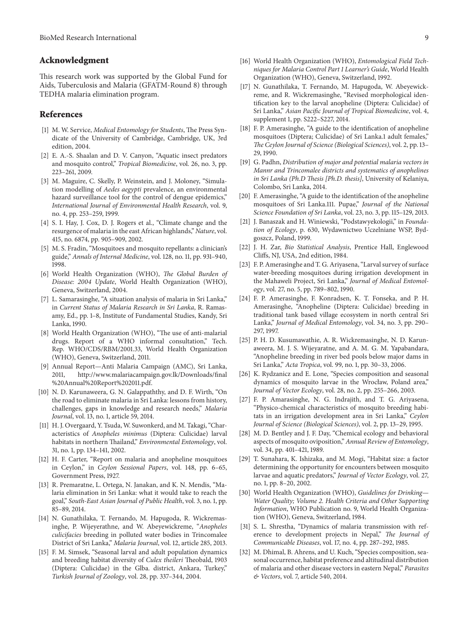### **Acknowledgment**

This research work was supported by the Global Fund for Aids, Tuberculosis and Malaria (GFATM-Round 8) through TEDHA malaria elimination program.

## **References**

- [1] M. W. Service, *Medical Entomology for Students*, The Press Syndicate of the University of Cambridge, Cambridge, UK, 3rd edition, 2004.
- [2] E. A.-S. Shaalan and D. V. Canyon, "Aquatic insect predators and mosquito control," *Tropical Biomedicine*, vol. 26, no. 3, pp. 223–261, 2009.
- [3] M. Maguire, C. Skelly, P. Weinstein, and J. Moloney, "Simulation modelling of *Aedes aegypti* prevalence, an environmental hazard surveillance tool for the control of dengue epidemics," *International Journal of Environmental Health Research*, vol. 9, no. 4, pp. 253–259, 1999.
- [4] S. I. Hay, J. Cox, D. J. Rogers et al., "Climate change and the resurgence of malaria in the east African highlands," *Nature*, vol. 415, no. 6874, pp. 905–909, 2002.
- [5] M. S. Fradin, "Mosquitoes and mosquito repellants: a clinician's guide," *Annals of Internal Medicine*, vol. 128, no. 11, pp. 931–940, 1998.
- [6] World Health Organization (WHO), *The Global Burden of Disease: 2004 Update*, World Health Organization (WHO), Geneva, Switzerland, 2004.
- [7] L. Samarasinghe, "A situation analysis of malaria in Sri Lanka," in *Current Status of Malaria Research in Sri Lanka*, R. Ramasamy, Ed., pp. 1–8, Institute of Fundamental Studies, Kandy, Sri Lanka, 1990.
- [8] World Health Organization (WHO), "The use of anti-malarial drugs. Report of a WHO informal consultation," Tech. Rep. WHO/CDS/RBM/2001.33, World Health Organization (WHO), Geneva, Switzerland, 2011.
- [9] Annual Report—Anti Malaria Campaign (AMC), Sri Lanka, 2011, http://www.malariacampaign.gov.lk/Downloads/final %20Annual%20Report%202011.pdf.
- [10] N. D. Karunaweera, G. N. Galappaththy, and D. F. Wirth, "On the road to eliminate malaria in Sri Lanka: lessons from history, challenges, gaps in knowledge and research needs," *Malaria Journal*, vol. 13, no. 1, article 59, 2014.
- [11] H. J. Overgaard, Y. Tsuda, W. Suwonkerd, and M. Takagi, "Characteristics of *Anopheles minimus* (Diptera: Culicidae) larval habitats in northern Thailand," *Environmental Entomology*, vol. 31, no. 1, pp. 134–141, 2002.
- [12] H. F. Carter, "Report on malaria and anopheline mosquitoes in Ceylon," in *Ceylon Sessional Papers*, vol. 148, pp. 6–65, Government Press, 1927.
- [13] R. Premaratne, L. Ortega, N. Janakan, and K. N. Mendis, "Malaria elimination in Sri Lanka: what it would take to reach the goal," *South-East Asian Journal of Public Health*, vol. 3, no. 1, pp. 85–89, 2014.
- [14] N. Gunathilaka, T. Fernando, M. Hapugoda, R. Wickremasinghe, P. Wijeyerathne, and W. Abeyewickreme, "*Anopheles culicifacies* breeding in polluted water bodies in Trincomalee District of Sri Lanka," *Malaria Journal*, vol. 12, article 285, 2013.
- [15] F. M. Simsek, "Seasonal larval and adult population dynamics and breeding habitat diversity of *Culex theileri* Theobald, 1903 (Diptera: Culicidae) in the Glba. district, Ankara, Turkey," *Turkish Journal of Zoology*, vol. 28, pp. 337–344, 2004.
- [16] World Health Organization (WHO), *Entomological Field Tech-*
- *niques for Malaria Control Part 1 Learner's Guide*, World Health Organization (WHO), Geneva, Switzerland, 1992. [17] N. Gunathilaka, T. Fernando, M. Hapugoda, W. Abeyewickreme, and R. Wickremasinghe, "Revised morphological iden-
- tification key to the larval anopheline (Diptera: Culicidae) of Sri Lanka," *Asian Pacific Journal of Tropical Biomedicine*, vol. 4, supplement 1, pp. S222–S227, 2014.
- [18] F. P. Amerasinghe, "A guide to the identification of anopheline mosquitoes (Diptera; Culicidae) of Sri Lanka.1 adult females," *The Ceylon Journal of Science (Biological Sciences)*, vol. 2, pp. 13– 29, 1990.
- [19] G. Padhn, *Distribution of major and potential malaria vectors in Mannr and Trincomalee districts and systematics of anophelines in Sri Lanka (Ph.D Thesis [Ph.D. thesis]*, University of Kelaniya, Colombo, Sri Lanka, 2014.
- [20] F. Amerasinghe, "A guide to the identification of the anopheline mosquitoes of Sri Lanka.111. Pupae," *Journal of the National Science Foundation of Sri Lanka*, vol. 23, no. 3, pp. 115–129, 2013.
- [21] J. Banaszak and H. Winiewski, "Podstawyekologii," in *Foundation of Ecology*, p. 630, Wydawnictwo Uczelniane WSP, Bydgoszcz, Poland, 1999.
- [22] J. H. Zar, *Bio Statistical Analysis*, Prentice Hall, Englewood Cliffs, NJ, USA, 2nd edition, 1984.
- [23] F. P. Amerasinghe and T. G. Ariyasena, "Larval survey of surface" water-breeding mosquitoes during irrigation development in the Mahaweli Project, Sri Lanka," *Journal of Medical Entomology*, vol. 27, no. 5, pp. 789–802, 1990.
- [24] F. P. Amerasinghe, F. Konradsen, K. T. Fonseka, and P. H. Amerasinghe, "Anopheline (Diptera: Culicidae) breeding in traditional tank based village ecosystem in north central Sri Lanka," *Journal of Medical Entomology*, vol. 34, no. 3, pp. 290– 297, 1997.
- [25] P. H. D. Kusumawathie, A. R. Wickremasinghe, N. D. Karunaweera, M. J. S. Wijeyaratne, and A. M. G. M. Yapabandara, "Anopheline breeding in river bed pools below major dams in Sri Lanka," *Acta Tropica*, vol. 99, no. 1, pp. 30–33, 2006.
- [26] K. Rydzanicz and E. Lone, "Species composition and seasonal dynamics of mosquito larvae in the Wrocław, Poland area," *Journal of Vector Ecology*, vol. 28, no. 2, pp. 255–266, 2003.
- [27] F. P. Amarasinghe, N. G. Indrajith, and T. G. Ariyasena, "Physico-chemical characteristics of mosquito breeding habitats in an irrigation development area in Sri Lanka," *Ceylon Journal of Science (Biological Sciences)*, vol. 2, pp. 13–29, 1995.
- [28] M. D. Bentley and J. F. Day, "Chemical ecology and behavioral aspects of mosquito oviposition," *Annual Review of Entomology*, vol. 34, pp. 401–421, 1989.
- [29] T. Sunahara, K. Ishizaka, and M. Mogi, "Habitat size: a factor determining the opportunity for encounters between mosquito larvae and aquatic predators," *Journal of Vector Ecology*, vol. 27, no. 1, pp. 8–20, 2002.
- [30] World Health Organization (WHO), *Guidelines for Drinking— Water Quality; Volume 2. Health Criteria and Other Supporting Information*, WHO Publication no. 9, World Health Organization (WHO), Geneva, Switzerland, 1984.
- [31] S. L. Shrestha, "Dynamics of malaria transmission with reference to development projects in Nepal," *The Journal of Communicable Diseases*, vol. 17, no. 4, pp. 287–292, 1985.
- [32] M. Dhimal, B. Ahrens, and U. Kuch, "Species composition, seasonal occurrence, habitat preference and altitudinal distribution of malaria and other disease vectors in eastern Nepal," *Parasites & Vectors*, vol. 7, article 540, 2014.